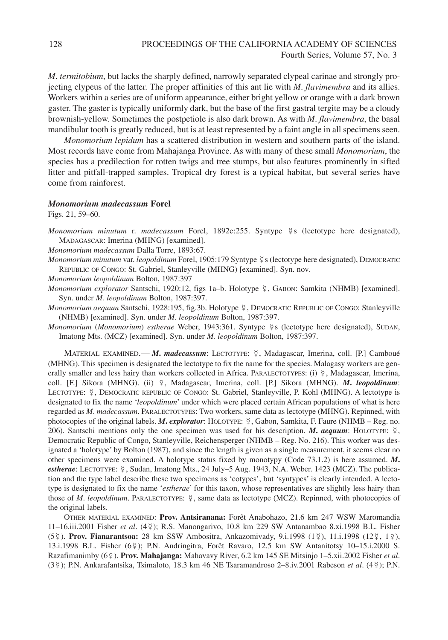*M*. *termitobium*, but lacks the sharply defined, narrowly separated clypeal carinae and strongly projecting clypeus of the latter. The proper affinities of this ant lie with *M*. *flavimembra* and its allies. Workers within a series are of uniform appearance, either bright yellow or orange with a dark brown gaster. The gaster is typically uniformly dark, but the base of the first gastral tergite may be a cloudy brownish-yellow. Sometimes the postpetiole is also dark brown. As with *M*. *flavimembra*, the basal mandibular tooth is greatly reduced, but is at least represented by a faint angle in all specimens seen.

*Monomorium lepidum* has a scattered distribution in western and southern parts of the island. Most records have come from Mahajanga Province. As with many of these small *Monomorium*, the species has a predilection for rotten twigs and tree stumps, but also features prominently in sifted litter and pitfall-trapped samples. Tropical dry forest is a typical habitat, but several series have come from rainforest.

## *Monomorium madecassum* **Forel**

Figs. 21, 59–60.

Monomorium minutum r. madecassum Forel, 1892c:255. Syntype ¥s (lectotype here designated), MADAGASCAR: Imerina (MHNG) [examined].

*Monomorium madecassum* Dalla Torre, 1893:67.

Monomorium minutum var. *leopoldinum* Forel, 1905:179 Syntype ¥s (lectotype here designated), DEMOCRATIC REPUBLIC OF CONGO: St. Gabriel, Stanleyville (MHNG) [examined]. Syn. nov.

*Monomorium leopoldinum* Bolton, 1987:397

*Monomorium explorator* Santschi, 1920:12, figs 1a–b. Holotype , GABON: Samkita (NHMB) [examined]. Syn. under *M. leopoldinum* Bolton, 1987:397.

Monomorium aequum Santschi, 1928:195, fig.3b. Holotype \?, DEMOCRATIC REPUBLIC OF CONGO: Stanleyville (NHMB) [examined]. Syn. under *M. leopoldinum* Bolton, 1987:397.

Monomorium (Monomorium) estherae Weber, 1943:361. Syntype ¥s (lectotype here designated), SUDAN, Imatong Mts. (MCZ) [examined]. Syn. under *M. leopoldinum* Bolton, 1987:397.

MATERIAL EXAMINED.— *M***.** *madecassum*: LECTOTYPE: , Madagascar, Imerina, coll. [P.] Camboué (MHNG). This specimen is designated the lectotype to fix the name for the species. Malagasy workers are generally smaller and less hairy than workers collected in Africa. PARALECTOTYPES: (i)  $\frac{3}{7}$ , Madagascar, Imerina, coll. [F.] Sikora (MHNG). (ii) ♀, Madagascar, Imerina, coll. [P.] Sikora (MHNG). *M***.** *leopoldinum*: LECTOTYPE:  $\frac{5}{7}$ , DEMOCRATIC REPUBLIC OF CONGO: St. Gabriel, Stanleyville, P. Kohl (MHNG). A lectotype is designated to fix the name '*leopoldinum*' under which were placed certain African populations of what is here regarded as *M*. *madecassum*. PARALECTOTYPES: Two workers, same data as lectotype (MHNG). Repinned, with photocopies of the original labels. *M***.** *explorator*: HOLOTYPE: , Gabon, Samkita, F. Faure (NHMB – Reg. no. 206). Santschi mentions only the one specimen was used for his description. *M. aequum*: HOLOTYPE:  $\zeta$ , Democratic Republic of Congo, Stanleyville, Reichensperger (NHMB – Reg. No. 216). This worker was designated a 'holotype' by Bolton (1987), and since the length is given as a single measurement, it seems clear no other specimens were examined. A holotype status fixed by monotypy (Code 73.1.2) is here assumed. *M***.** estherae: LECTOTYPE: \2}, Sudan, Imatong Mts., 24 July–5 Aug. 1943, N.A. Weber. 1423 (MCZ). The publication and the type label describe these two specimens as 'cotypes', but 'syntypes' is clearly intended. A lectotype is designated to fix the name '*estherae*' for this taxon, whose representatives are slightly less hairy than those of *M. leopoldinum*. PARALECTOTYPE:  $\frac{5}{7}$ , same data as lectotype (MCZ). Repinned, with photocopies of the original labels.

OTHER MATERIAL EXAMINED: **Prov. Antsiranana:** Forêt Anabohazo, 21.6 km 247 WSW Maromandia 11–16.iii.2001 Fisher *et al*. (4 ); R.S. Manongarivo, 10.8 km 229 SW Antanambao 8.xi.1998 B.L. Fisher (5\2). **Prov. Fianarantsoa:** 28 km SSW Ambositra, Ankazomivady, 9.i.1998 (1\2), 11.i.1998 (12\2, 1\2), 13.i.1998 B.L. Fisher (6 ); P.N. Andringitra, Forêt Ravaro, 12.5 km SW Antanitotsy 10–15.i.2000 S. Razafimanimby (6♀). **Prov. Mahajanga:** Mahavavy River, 6.2 km 145 SE Mitsinjo 1–5.xii.2002 Fisher *et al*. (3 ); P.N. Ankarafantsika, Tsimaloto, 18.3 km 46 NE Tsaramandroso 2–8.iv.2001 Rabeson *et al*. (4 ); P.N.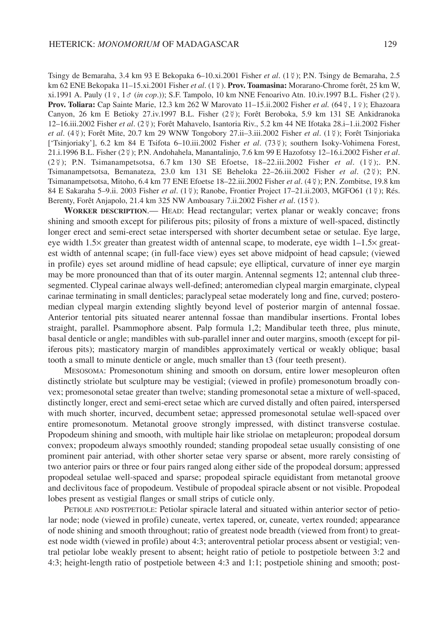Tsingy de Bemaraha, 3.4 km 93 E Bekopaka 6–10.xi.2001 Fisher *et al*. (1 ); P.N. Tsingy de Bemaraha, 2.5 km 62 ENE Bekopaka 11–15.xi.2001 Fisher *et al*. (1 ). **Prov. Toamasina:** Morarano-Chrome forêt, 25 km W, xi.1991 A. Pauly (1♀, 1♂ (*in cop*.)); S.F. Tampolo, 10 km NNE Fenoarivo Atn. 10.iv.1997 B.L. Fisher (2 ). Prov. Toliara: Cap Sainte Marie, 12.3 km 262 W Marovato 11–15.ii.2002 Fisher *et al.* (64 ¥, 1 º ); Ehazoara Canyon, 26 km E Betioky 27.iv.1997 B.L. Fisher (2 ); Forêt Beroboka, 5.9 km 131 SE Ankidranoka 12–16.iii.2002 Fisher *et al*. (2 ); Forêt Mahavelo, Isantoria Riv., 5.2 km 44 NE Ifotaka 28.i–1.ii.2002 Fisher *et al*. (4 ); Forêt Mite, 20.7 km 29 WNW Tongobory 27.ii–3.iii.2002 Fisher *et al*. (1 ); Forêt Tsinjoriaka ['Tsinjoriaky'], 6.2 km 84 E Tsifota 6–10.iii.2002 Fisher *et al*. (73 ); southern Isoky-Vohimena Forest, 21.i.1996 B.L. Fisher (2 ); P.N. Andohahela, Manantalinjo, 7.6 km 99 E Hazofotsy 12–16.i.2002 Fisher *et al*.  $(2\frac{3}{2})$ ; P.N. Tsimanampetsotsa, 6.7 km 130 SE Efoetse, 18-22.iii.2002 Fisher *et al.*  $(1\frac{3}{2})$ ;. P.N. Tsimanampetsotsa, Bemanateza, 23.0 km 131 SE Beheloka 22–26.iii.2002 Fisher *et al*. (2 ); P.N. Tsimanampetsotsa, Mitoho, 6.4 km 77 ENE Efoetse 18–22.iii.2002 Fisher *et al*. (4 ); P.N. Zombitse, 19.8 km 84 E Sakaraha 5–9.ii. 2003 Fisher *et al.* (1\2); Ranobe, Frontier Project 17–21.ii.2003, MGFO61 (1\2); Rés. Berenty, Forêt Anjapolo, 21.4 km 325 NW Amboasary 7.ii.2002 Fisher et al. (15 ¥).

**WORKER DESCRIPTION**.— HEAD: Head rectangular; vertex planar or weakly concave; frons shining and smooth except for piliferous pits; pilosity of frons a mixture of well-spaced, distinctly longer erect and semi-erect setae interspersed with shorter decumbent setae or setulae. Eye large, eye width 1.5× greater than greatest width of antennal scape, to moderate, eye width 1–1.5× greatest width of antennal scape; (in full-face view) eyes set above midpoint of head capsule; (viewed in profile) eyes set around midline of head capsule; eye elliptical, curvature of inner eye margin may be more pronounced than that of its outer margin. Antennal segments 12; antennal club threesegmented. Clypeal carinae always well-defined; anteromedian clypeal margin emarginate, clypeal carinae terminating in small denticles; paraclypeal setae moderately long and fine, curved; posteromedian clypeal margin extending slightly beyond level of posterior margin of antennal fossae. Anterior tentorial pits situated nearer antennal fossae than mandibular insertions. Frontal lobes straight, parallel. Psammophore absent. Palp formula 1,2; Mandibular teeth three, plus minute, basal denticle or angle; mandibles with sub-parallel inner and outer margins, smooth (except for piliferous pits); masticatory margin of mandibles approximately vertical or weakly oblique; basal tooth a small to minute denticle or angle, much smaller than t3 (four teeth present).

MESOSOMA: Promesonotum shining and smooth on dorsum, entire lower mesopleuron often distinctly striolate but sculpture may be vestigial; (viewed in profile) promesonotum broadly convex; promesonotal setae greater than twelve; standing promesonotal setae a mixture of well-spaced, distinctly longer, erect and semi-erect setae which are curved distally and often paired, interspersed with much shorter, incurved, decumbent setae; appressed promesonotal setulae well-spaced over entire promesonotum. Metanotal groove strongly impressed, with distinct transverse costulae. Propodeum shining and smooth, with multiple hair like striolae on metapleuron; propodeal dorsum convex; propodeum always smoothly rounded; standing propodeal setae usually consisting of one prominent pair anteriad, with other shorter setae very sparse or absent, more rarely consisting of two anterior pairs or three or four pairs ranged along either side of the propodeal dorsum; appressed propodeal setulae well-spaced and sparse; propodeal spiracle equidistant from metanotal groove and declivitous face of propodeum. Vestibule of propodeal spiracle absent or not visible. Propodeal lobes present as vestigial flanges or small strips of cuticle only.

PETIOLE AND POSTPETIOLE: Petiolar spiracle lateral and situated within anterior sector of petiolar node; node (viewed in profile) cuneate, vertex tapered, or, cuneate, vertex rounded; appearance of node shining and smooth throughout; ratio of greatest node breadth (viewed from front) to greatest node width (viewed in profile) about 4:3; anteroventral petiolar process absent or vestigial; ventral petiolar lobe weakly present to absent; height ratio of petiole to postpetiole between 3:2 and 4:3; height-length ratio of postpetiole between 4:3 and 1:1; postpetiole shining and smooth; post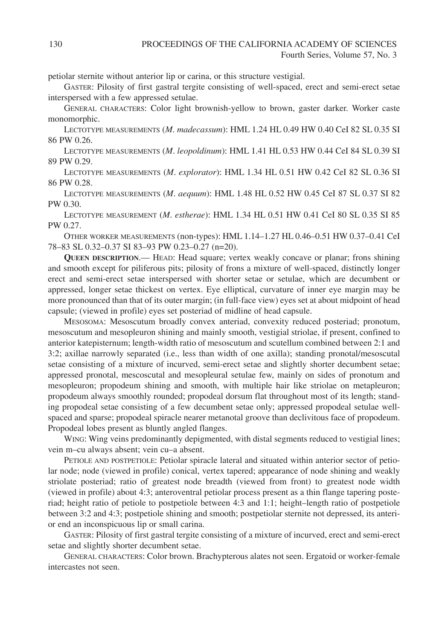petiolar sternite without anterior lip or carina, or this structure vestigial.

GASTER: Pilosity of first gastral tergite consisting of well-spaced, erect and semi-erect setae interspersed with a few appressed setulae.

GENERAL CHARACTERS: Color light brownish-yellow to brown, gaster darker. Worker caste monomorphic.

LECTOTYPE MEASUREMENTS (*M*. *madecassum*): HML 1.24 HL 0.49 HW 0.40 CeI 82 SL 0.35 SI 86 PW 0.26.

LECTOTYPE MEASUREMENTS (*M*. *leopoldinum*): HML 1.41 HL 0.53 HW 0.44 CeI 84 SL 0.39 SI 89 PW 0.29.

LECTOTYPE MEASUREMENTS (*M*. *explorator*): HML 1.34 HL 0.51 HW 0.42 CeI 82 SL 0.36 SI 86 PW 0.28.

LECTOTYPE MEASUREMENTS (*M*. *aequum*): HML 1.48 HL 0.52 HW 0.45 CeI 87 SL 0.37 SI 82 PW 0.30.

LECTOTYPE MEASUREMENT (*M*. *estherae*): HML 1.34 HL 0.51 HW 0.41 CeI 80 SL 0.35 SI 85 PW 0.27.

OTHER WORKER MEASUREMENTS (non-types): HML 1.14–1.27 HL 0.46–0.51 HW 0.37–0.41 CeI 78–83 SL 0.32–0.37 SI 83–93 PW 0.23–0.27 (n=20).

**QUEEN DESCRIPTION**.— HEAD: Head square; vertex weakly concave or planar; frons shining and smooth except for piliferous pits; pilosity of frons a mixture of well-spaced, distinctly longer erect and semi-erect setae interspersed with shorter setae or setulae, which are decumbent or appressed, longer setae thickest on vertex. Eye elliptical, curvature of inner eye margin may be more pronounced than that of its outer margin; (in full-face view) eyes set at about midpoint of head capsule; (viewed in profile) eyes set posteriad of midline of head capsule.

MESOSOMA: Mesoscutum broadly convex anteriad, convexity reduced posteriad; pronotum, mesoscutum and mesopleuron shining and mainly smooth, vestigial striolae, if present, confined to anterior katepisternum; length-width ratio of mesoscutum and scutellum combined between 2:1 and 3:2; axillae narrowly separated (i.e., less than width of one axilla); standing pronotal/mesoscutal setae consisting of a mixture of incurved, semi-erect setae and slightly shorter decumbent setae; appressed pronotal, mescoscutal and mesopleural setulae few, mainly on sides of pronotum and mesopleuron; propodeum shining and smooth, with multiple hair like striolae on metapleuron; propodeum always smoothly rounded; propodeal dorsum flat throughout most of its length; standing propodeal setae consisting of a few decumbent setae only; appressed propodeal setulae wellspaced and sparse; propodeal spiracle nearer metanotal groove than declivitous face of propodeum. Propodeal lobes present as bluntly angled flanges.

WING: Wing veins predominantly depigmented, with distal segments reduced to vestigial lines; vein m–cu always absent; vein cu–a absent.

PETIOLE AND POSTPETIOLE: Petiolar spiracle lateral and situated within anterior sector of petiolar node; node (viewed in profile) conical, vertex tapered; appearance of node shining and weakly striolate posteriad; ratio of greatest node breadth (viewed from front) to greatest node width (viewed in profile) about 4:3; anteroventral petiolar process present as a thin flange tapering posteriad; height ratio of petiole to postpetiole between 4:3 and 1:1; height–length ratio of postpetiole between 3:2 and 4:3; postpetiole shining and smooth; postpetiolar sternite not depressed, its anterior end an inconspicuous lip or small carina.

GASTER: Pilosity of first gastral tergite consisting of a mixture of incurved, erect and semi-erect setae and slightly shorter decumbent setae.

GENERAL CHARACTERS: Color brown. Brachypterous alates not seen. Ergatoid or worker-female intercastes not seen.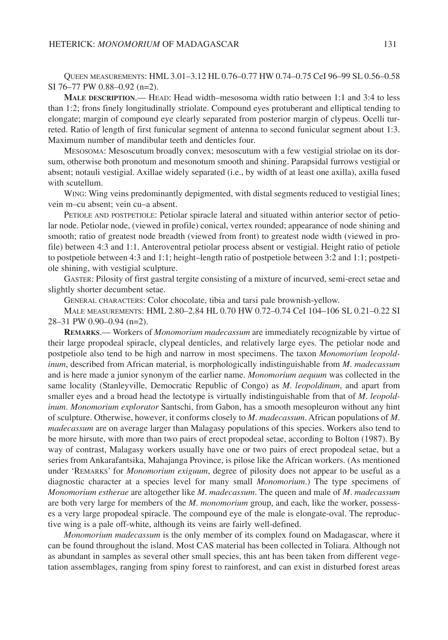QUEEN MEASUREMENTS: HML 3.01–3.12 HL 0.76–0.77 HW 0.74–0.75 CeI 96–99 SL 0.56–0.58 SI 76–77 PW 0.88–0.92 (n=2).

**MALE DESCRIPTION**.— HEAD: Head width–mesosoma width ratio between 1:1 and 3:4 to less than 1:2; frons finely longitudinally striolate. Compound eyes protuberant and elliptical tending to elongate; margin of compound eye clearly separated from posterior margin of clypeus. Ocelli turreted. Ratio of length of first funicular segment of antenna to second funicular segment about 1:3. Maximum number of mandibular teeth and denticles four.

MESOSOMA: Mesoscutum broadly convex; mesoscutum with a few vestigial striolae on its dorsum, otherwise both pronotum and mesonotum smooth and shining. Parapsidal furrows vestigial or absent; notauli vestigial. Axillae widely separated (i.e., by width of at least one axilla), axilla fused with scutellum.

WING: Wing veins predominantly depigmented, with distal segments reduced to vestigial lines; vein m–cu absent; vein cu–a absent.

PETIOLE AND POSTPETIOLE: Petiolar spiracle lateral and situated within anterior sector of petiolar node. Petiolar node, (viewed in profile) conical, vertex rounded; appearance of node shining and smooth; ratio of greatest node breadth (viewed from front) to greatest node width (viewed in profile) between 4:3 and 1:1. Anteroventral petiolar process absent or vestigial. Height ratio of petiole to postpetiole between 4:3 and 1:1; height–length ratio of postpetiole between 3:2 and 1:1; postpetiole shining, with vestigial sculpture.

GASTER: Pilosity of first gastral tergite consisting of a mixture of incurved, semi-erect setae and slightly shorter decumbent setae.

GENERAL CHARACTERS: Color chocolate, tibia and tarsi pale brownish-yellow.

MALE MEASUREMENTS: HML 2.80–2.84 HL 0.70 HW 0.72–0.74 CeI 104–106 SL 0.21–0.22 SI 28–31 PW 0.90–0.94 (n=2).

**REMARKS**.— Workers of *Monomorium madecassum* are immediately recognizable by virtue of their large propodeal spiracle, clypeal denticles, and relatively large eyes. The petiolar node and postpetiole also tend to be high and narrow in most specimens. The taxon *Monomorium leopoldinum*, described from African material, is morphologically indistinguishable from *M*. *madecassum* and is here made a junior synonym of the earlier name. *Monomorium aequum* was collected in the same locality (Stanleyville, Democratic Republic of Congo) as *M*. *leopoldinum*, and apart from smaller eyes and a broad head the lectotype is virtually indistinguishable from that of *M*. *leopoldinum*. *Monomorium explorator* Santschi, from Gabon, has a smooth mesopleuron without any hint of sculpture. Otherwise, however, it conforms closely to *M*. *madecassum*. African populations of *M*. *madecassum* are on average larger than Malagasy populations of this species. Workers also tend to be more hirsute, with more than two pairs of erect propodeal setae, according to Bolton (1987). By way of contrast, Malagasy workers usually have one or two pairs of erect propodeal setae, but a series from Ankarafantsika, Mahajanga Province, is pilose like the African workers. (As mentioned under 'REMARKS' for *Monomorium exiguum*, degree of pilosity does not appear to be useful as a diagnostic character at a species level for many small *Monomorium*.) The type specimens of *Monomorium estherae* are altogether like *M*. *madecassum*. The queen and male of *M*. *madecassum* are both very large for members of the *M*. *monomorium* group, and each, like the worker, possesses a very large propodeal spiracle. The compound eye of the male is elongate-oval. The reproductive wing is a pale off-white, although its veins are fairly well-defined.

*Monomorium madecassum* is the only member of its complex found on Madagascar, where it can be found throughout the island. Most CAS material has been collected in Toliara. Although not as abundant in samples as several other small species, this ant has been taken from different vegetation assemblages, ranging from spiny forest to rainforest, and can exist in disturbed forest areas